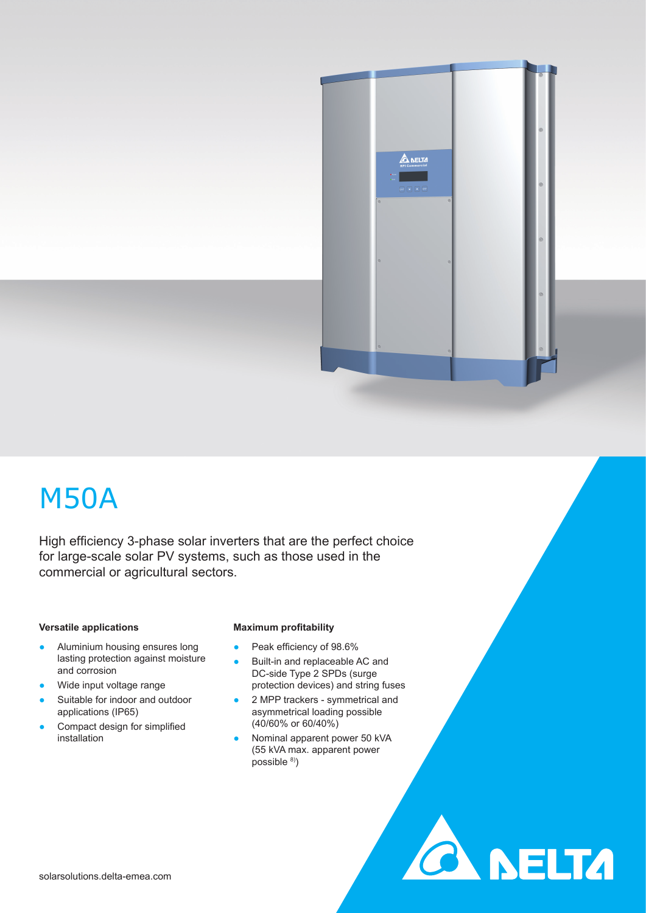

**CA NELTA** 

# M50A

High efficiency 3-phase solar inverters that are the perfect choice for large-scale solar PV systems, such as those used in the commercial or agricultural sectors.

## **Versatile applications**

- Aluminium housing ensures long lasting protection against moisture and corrosion
- Wide input voltage range
- Suitable for indoor and outdoor applications (IP65)
- Compact design for simplified installation

### **Maximum profitability**

- Peak efficiency of 98.6%
- Built-in and replaceable AC and DC-side Type 2 SPDs (surge protection devices) and string fuses
- 2 MPP trackers symmetrical and asymmetrical loading possible (40/60% or 60/40%)
- Nominal apparent power 50 kVA (55 kVA max. apparent power possible 8)